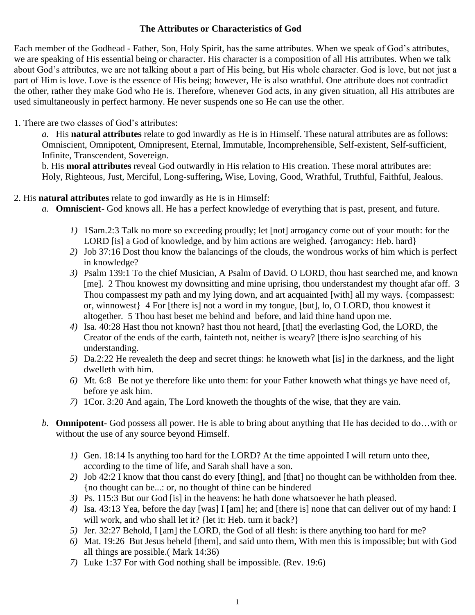## **The Attributes or Characteristics of God**

Each member of the Godhead - Father, Son, Holy Spirit, has the same attributes. When we speak of God's attributes, we are speaking of His essential being or character. His character is a composition of all His attributes. When we talk about God's attributes, we are not talking about a part of His being, but His whole character. God is love, but not just a part of Him is love. Love is the essence of His being; however, He is also wrathful. One attribute does not contradict the other, rather they make God who He is. Therefore, whenever God acts, in any given situation, all His attributes are used simultaneously in perfect harmony. He never suspends one so He can use the other.

## 1. There are two classes of God's attributes:

*a.* His **natural attributes** relate to god inwardly as He is in Himself. These natural attributes are as follows: Omniscient, Omnipotent, Omnipresent, Eternal, Immutable, Incomprehensible, Self-existent, Self-sufficient, Infinite, Transcendent, Sovereign.

b. His **moral attributes** reveal God outwardly in His relation to His creation. These moral attributes are: Holy, Righteous, Just, Merciful, Long-suffering**,** Wise, Loving, Good, Wrathful, Truthful, Faithful, Jealous.

## 2. His **natural attributes** relate to god inwardly as He is in Himself:

- *a.* **Omniscient-** God knows all. He has a perfect knowledge of everything that is past, present, and future.
	- *1)* 1Sam.2:3 Talk no more so exceeding proudly; let [not] arrogancy come out of your mouth: for the LORD [is] a God of knowledge, and by him actions are weighed. {arrogancy: Heb. hard}
	- *2)* Job 37:16 Dost thou know the balancings of the clouds, the wondrous works of him which is perfect in knowledge?
	- *3)* Psalm 139:1 To the chief Musician, A Psalm of David. O LORD, thou hast searched me, and known [me]. 2 Thou knowest my downsitting and mine uprising, thou understandest my thought afar off. 3 Thou compassest my path and my lying down, and art acquainted [with] all my ways. {compassest: or, winnowest} 4 For [there is] not a word in my tongue, [but], lo, O LORD, thou knowest it altogether. 5 Thou hast beset me behind and before, and laid thine hand upon me.
	- *4)* Isa. 40:28 Hast thou not known? hast thou not heard, [that] the everlasting God, the LORD, the Creator of the ends of the earth, fainteth not, neither is weary? [there is]no searching of his understanding.
	- *5)* Da.2:22 He revealeth the deep and secret things: he knoweth what [is] in the darkness, and the light dwelleth with him.
	- *6)* Mt. 6:8 Be not ye therefore like unto them: for your Father knoweth what things ye have need of, before ye ask him.
	- *7)* 1Cor. 3:20 And again, The Lord knoweth the thoughts of the wise, that they are vain.
- *b.* **Omnipotent-** God possess all power. He is able to bring about anything that He has decided to do…with or without the use of any source beyond Himself.
	- *1)* Gen. 18:14 Is anything too hard for the LORD? At the time appointed I will return unto thee, according to the time of life, and Sarah shall have a son.
	- *2)* Job 42:2 I know that thou canst do every [thing], and [that] no thought can be withholden from thee. {no thought can be...: or, no thought of thine can be hindered
	- *3)* Ps. 115:3 But our God [is] in the heavens: he hath done whatsoever he hath pleased.
	- *4)* Isa. 43:13 Yea, before the day [was] I [am] he; and [there is] none that can deliver out of my hand: I will work, and who shall let it? {let it: Heb. turn it back?}
	- *5)* Jer. 32:27 Behold, I [am] the LORD, the God of all flesh: is there anything too hard for me?
	- *6)* Mat. 19:26 But Jesus beheld [them], and said unto them, With men this is impossible; but with God all things are possible.( Mark 14:36)
	- *7)* Luke 1:37 For with God nothing shall be impossible. (Rev. 19:6)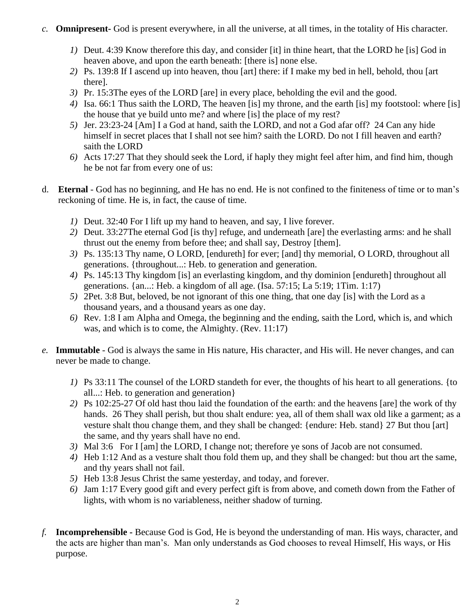- *c.* **Omnipresent-** God is present everywhere, in all the universe, at all times, in the totality of His character.
	- *1)* Deut. 4:39 Know therefore this day, and consider [it] in thine heart, that the LORD he [is] God in heaven above, and upon the earth beneath: [there is] none else.
	- *2)* Ps. 139:8 If I ascend up into heaven, thou [art] there: if I make my bed in hell, behold, thou [art there].
	- *3)* Pr. 15:3The eyes of the LORD [are] in every place, beholding the evil and the good.
	- *4)* Isa. 66:1 Thus saith the LORD, The heaven [is] my throne, and the earth [is] my footstool: where [is] the house that ye build unto me? and where [is] the place of my rest?
	- *5)* Jer. 23:23-24 [Am] I a God at hand, saith the LORD, and not a God afar off? 24 Can any hide himself in secret places that I shall not see him? saith the LORD. Do not I fill heaven and earth? saith the LORD
	- *6)* Acts 17:27 That they should seek the Lord, if haply they might feel after him, and find him, though he be not far from every one of us:
- d. **Eternal**  God has no beginning, and He has no end. He is not confined to the finiteness of time or to man's reckoning of time. He is, in fact, the cause of time.
	- *1)* Deut. 32:40 For I lift up my hand to heaven, and say, I live forever.
	- *2)* Deut. 33:27The eternal God [is thy] refuge, and underneath [are] the everlasting arms: and he shall thrust out the enemy from before thee; and shall say, Destroy [them].
	- *3)* Ps. 135:13 Thy name, O LORD, [endureth] for ever; [and] thy memorial, O LORD, throughout all generations. {throughout...: Heb. to generation and generation.
	- *4)* Ps. 145:13 Thy kingdom [is] an everlasting kingdom, and thy dominion [endureth] throughout all generations. {an...: Heb. a kingdom of all age. (Isa. 57:15; La 5:19; 1Tim. 1:17)
	- *5)* 2Pet. 3:8 But, beloved, be not ignorant of this one thing, that one day [is] with the Lord as a thousand years, and a thousand years as one day.
	- *6)* Rev. 1:8 I am Alpha and Omega, the beginning and the ending, saith the Lord, which is, and which was, and which is to come, the Almighty. (Rev. 11:17)
- *e.* **Immutable**  God is always the same in His nature, His character, and His will. He never changes, and can never be made to change.
	- *1)* Ps 33:11 The counsel of the LORD standeth for ever, the thoughts of his heart to all generations. {to all...: Heb. to generation and generation}
	- *2)* Ps 102:25-27 Of old hast thou laid the foundation of the earth: and the heavens [are] the work of thy hands. 26 They shall perish, but thou shalt endure: yea, all of them shall wax old like a garment; as a vesture shalt thou change them, and they shall be changed: {endure: Heb. stand} 27 But thou [art] the same, and thy years shall have no end.
	- *3)* Mal 3:6 For I [am] the LORD, I change not; therefore ye sons of Jacob are not consumed.
	- *4)* Heb 1:12 And as a vesture shalt thou fold them up, and they shall be changed: but thou art the same, and thy years shall not fail.
	- *5)* Heb 13:8 Jesus Christ the same yesterday, and today, and forever.
	- *6)* Jam 1:17 Every good gift and every perfect gift is from above, and cometh down from the Father of lights, with whom is no variableness, neither shadow of turning.
- *f.* **Incomprehensible -** Because God is God, He is beyond the understanding of man. His ways, character, and the acts are higher than man's. Man only understands as God chooses to reveal Himself, His ways, or His purpose.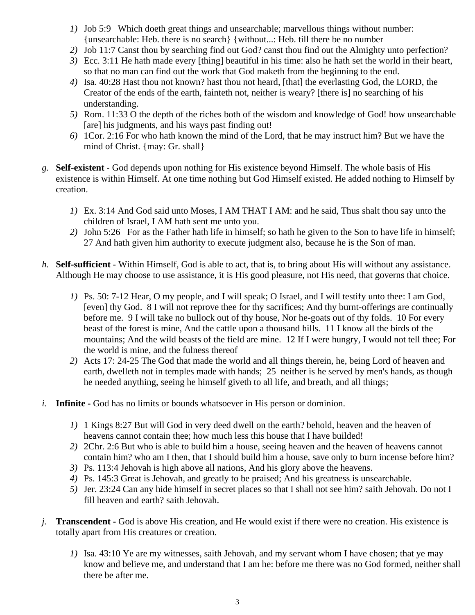- *1)* Job 5:9 Which doeth great things and unsearchable; marvellous things without number: {unsearchable: Heb. there is no search} {without...: Heb. till there be no number
- *2)* Job 11:7 Canst thou by searching find out God? canst thou find out the Almighty unto perfection?
- *3)* Ecc. 3:11 He hath made every [thing] beautiful in his time: also he hath set the world in their heart, so that no man can find out the work that God maketh from the beginning to the end.
- *4)* Isa. 40:28 Hast thou not known? hast thou not heard, [that] the everlasting God, the LORD, the Creator of the ends of the earth, fainteth not, neither is weary? [there is] no searching of his understanding.
- *5)* Rom. 11:33 O the depth of the riches both of the wisdom and knowledge of God! how unsearchable [are] his judgments, and his ways past finding out!
- *6)* 1Cor. 2:16 For who hath known the mind of the Lord, that he may instruct him? But we have the mind of Christ. {may: Gr. shall}
- *g.* **Self-existent**  God depends upon nothing for His existence beyond Himself. The whole basis of His existence is within Himself. At one time nothing but God Himself existed. He added nothing to Himself by creation.
	- *1)* Ex. 3:14 And God said unto Moses, I AM THAT I AM: and he said, Thus shalt thou say unto the children of Israel, I AM hath sent me unto you.
	- *2)* John 5:26 For as the Father hath life in himself; so hath he given to the Son to have life in himself; 27 And hath given him authority to execute judgment also, because he is the Son of man.
- *h.* **Self-sufficient** Within Himself, God is able to act, that is, to bring about His will without any assistance. Although He may choose to use assistance, it is His good pleasure, not His need, that governs that choice.
	- *1)* Ps. 50: 7-12 Hear, O my people, and I will speak; O Israel, and I will testify unto thee: I am God, [even] thy God. 8 I will not reprove thee for thy sacrifices; And thy burnt-offerings are continually before me. 9 I will take no bullock out of thy house, Nor he-goats out of thy folds. 10 For every beast of the forest is mine, And the cattle upon a thousand hills. 11 I know all the birds of the mountains; And the wild beasts of the field are mine. 12 If I were hungry, I would not tell thee; For the world is mine, and the fulness thereof
	- *2)* Acts 17: 24-25 The God that made the world and all things therein, he, being Lord of heaven and earth, dwelleth not in temples made with hands; 25 neither is he served by men's hands, as though he needed anything, seeing he himself giveth to all life, and breath, and all things;
- *i.* **Infinite -** God has no limits or bounds whatsoever in His person or dominion.
	- *1)* 1 Kings 8:27 But will God in very deed dwell on the earth? behold, heaven and the heaven of heavens cannot contain thee; how much less this house that I have builded!
	- *2)* 2Chr. 2:6 But who is able to build him a house, seeing heaven and the heaven of heavens cannot contain him? who am I then, that I should build him a house, save only to burn incense before him?
	- *3)* Ps. 113:4 Jehovah is high above all nations, And his glory above the heavens.
	- *4)* Ps. 145:3 Great is Jehovah, and greatly to be praised; And his greatness is unsearchable.
	- *5)* Jer. 23:24 Can any hide himself in secret places so that I shall not see him? saith Jehovah. Do not I fill heaven and earth? saith Jehovah.
- *j.* **Transcendent -** God is above His creation, and He would exist if there were no creation. His existence is totally apart from His creatures or creation.
	- *1)* Isa. 43:10 Ye are my witnesses, saith Jehovah, and my servant whom I have chosen; that ye may know and believe me, and understand that I am he: before me there was no God formed, neither shall there be after me.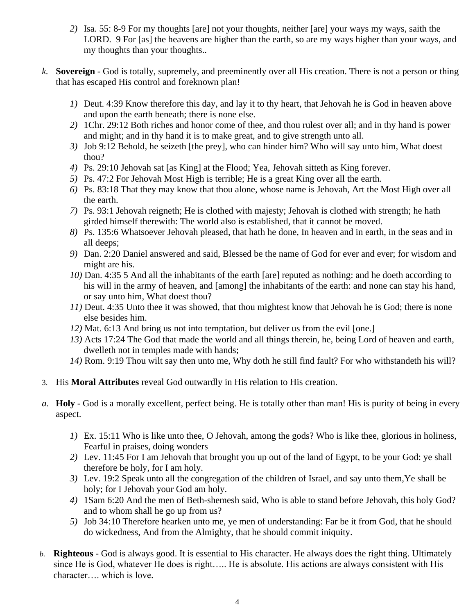- *2)* Isa. 55: 8-9 For my thoughts [are] not your thoughts, neither [are] your ways my ways, saith the LORD. 9 For [as] the heavens are higher than the earth, so are my ways higher than your ways, and my thoughts than your thoughts..
- *k.* **Sovereign**  God is totally, supremely, and preeminently over all His creation. There is not a person or thing that has escaped His control and foreknown plan!
	- *1)* Deut. 4:39 Know therefore this day, and lay it to thy heart, that Jehovah he is God in heaven above and upon the earth beneath; there is none else.
	- *2)* 1Chr. 29:12 Both riches and honor come of thee, and thou rulest over all; and in thy hand is power and might; and in thy hand it is to make great, and to give strength unto all.
	- *3)* Job 9:12 Behold, he seizeth [the prey], who can hinder him? Who will say unto him, What doest thou?
	- *4)* Ps. 29:10 Jehovah sat [as King] at the Flood; Yea, Jehovah sitteth as King forever.
	- *5)* Ps. 47:2 For Jehovah Most High is terrible; He is a great King over all the earth.
	- *6)* Ps. 83:18 That they may know that thou alone, whose name is Jehovah, Art the Most High over all the earth.
	- *7)* Ps. 93:1 Jehovah reigneth; He is clothed with majesty; Jehovah is clothed with strength; he hath girded himself therewith: The world also is established, that it cannot be moved.
	- *8)* Ps. 135:6 Whatsoever Jehovah pleased, that hath he done, In heaven and in earth, in the seas and in all deeps;
	- *9)* Dan. 2:20 Daniel answered and said, Blessed be the name of God for ever and ever; for wisdom and might are his.
	- *10)* Dan. 4:35 5 And all the inhabitants of the earth [are] reputed as nothing: and he doeth according to his will in the army of heaven, and [among] the inhabitants of the earth: and none can stay his hand, or say unto him, What doest thou?
	- *11)* Deut. 4:35 Unto thee it was showed, that thou mightest know that Jehovah he is God; there is none else besides him.
	- *12)* Mat. 6:13 And bring us not into temptation, but deliver us from the evil [one.]
	- *13)* Acts 17:24 The God that made the world and all things therein, he, being Lord of heaven and earth, dwelleth not in temples made with hands;
	- *14)* Rom. 9:19 Thou wilt say then unto me, Why doth he still find fault? For who withstandeth his will?
- 3. His **Moral Attributes** reveal God outwardly in His relation to His creation.
- *a.* **Holy**  God is a morally excellent, perfect being. He is totally other than man! His is purity of being in every aspect.
	- *1)* Ex. 15:11 Who is like unto thee, O Jehovah, among the gods? Who is like thee, glorious in holiness, Fearful in praises, doing wonders
	- *2)* Lev. 11:45 For I am Jehovah that brought you up out of the land of Egypt, to be your God: ye shall therefore be holy, for I am holy.
	- *3)* Lev. 19:2 Speak unto all the congregation of the children of Israel, and say unto them,Ye shall be holy; for I Jehovah your God am holy.
	- *4)* 1Sam 6:20 And the men of Beth-shemesh said, Who is able to stand before Jehovah, this holy God? and to whom shall he go up from us?
	- *5)* Job 34:10 Therefore hearken unto me, ye men of understanding: Far be it from God, that he should do wickedness, And from the Almighty, that he should commit iniquity.
- *b.* **Righteous** God is always good. It is essential to His character. He always does the right thing. Ultimately since He is God, whatever He does is right….. He is absolute. His actions are always consistent with His character…. which is love.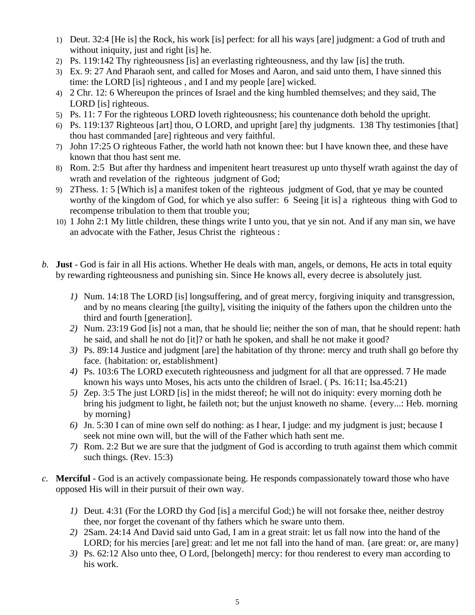- 1) Deut. 32:4 [He is] the Rock, his work [is] perfect: for all his ways [are] judgment: a God of truth and without iniquity, just and right [is] he.
- 2) Ps. 119:142 Thy righteousness [is] an everlasting righteousness, and thy law [is] the truth.
- 3) Ex. 9: 27 And Pharaoh sent, and called for Moses and Aaron, and said unto them, I have sinned this time: the LORD [is] righteous , and I and my people [are] wicked.
- 4) 2 Chr. 12: 6 Whereupon the princes of Israel and the king humbled themselves; and they said, The LORD [is] righteous.
- 5) Ps. 11: 7 For the righteous LORD loveth righteousness; his countenance doth behold the upright.
- 6) Ps. 119:137 Righteous [art] thou, O LORD, and upright [are] thy judgments. 138 Thy testimonies [that] thou hast commanded [are] righteous and very faithful.
- 7) John 17:25 O righteous Father, the world hath not known thee: but I have known thee, and these have known that thou hast sent me.
- 8) Rom. 2:5 But after thy hardness and impenitent heart treasurest up unto thyself wrath against the day of wrath and revelation of the righteous judgment of God;
- 9) 2Thess. 1: 5 [Which is] a manifest token of the righteous judgment of God, that ye may be counted worthy of the kingdom of God, for which ye also suffer: 6 Seeing [it is] a righteous thing with God to recompense tribulation to them that trouble you;
- 10) 1 John 2:1 My little children, these things write I unto you, that ye sin not. And if any man sin, we have an advocate with the Father, Jesus Christ the righteous :
- *b.* **Just**  God is fair in all His actions. Whether He deals with man, angels, or demons, He acts in total equity by rewarding righteousness and punishing sin. Since He knows all, every decree is absolutely just.
	- *1)* Num. 14:18 The LORD [is] longsuffering, and of great mercy, forgiving iniquity and transgression, and by no means clearing [the guilty], visiting the iniquity of the fathers upon the children unto the third and fourth [generation].
	- *2)* Num. 23:19 God [is] not a man, that he should lie; neither the son of man, that he should repent: hath he said, and shall he not do [it]? or hath he spoken, and shall he not make it good?
	- *3)* Ps. 89:14 Justice and judgment [are] the habitation of thy throne: mercy and truth shall go before thy face. {habitation: or, establishment}
	- *4)* Ps. 103:6 The LORD executeth righteousness and judgment for all that are oppressed. 7 He made known his ways unto Moses, his acts unto the children of Israel. ( Ps. 16:11; Isa.45:21)
	- *5)* Zep. 3:5 The just LORD [is] in the midst thereof; he will not do iniquity: every morning doth he bring his judgment to light, he faileth not; but the unjust knoweth no shame. {every...: Heb. morning by morning}
	- *6)* Jn. 5:30 I can of mine own self do nothing: as I hear, I judge: and my judgment is just; because I seek not mine own will, but the will of the Father which hath sent me.
	- *7)* Rom. 2:2 But we are sure that the judgment of God is according to truth against them which commit such things. (Rev. 15:3)
- *c.* **Merciful**  God is an actively compassionate being. He responds compassionately toward those who have opposed His will in their pursuit of their own way.
	- *1)* Deut. 4:31 (For the LORD thy God [is] a merciful God;) he will not forsake thee, neither destroy thee, nor forget the covenant of thy fathers which he sware unto them.
	- *2)* 2Sam. 24:14 And David said unto Gad, I am in a great strait: let us fall now into the hand of the LORD; for his mercies [are] great: and let me not fall into the hand of man. {are great: or, are many}
	- *3)* Ps. 62:12 Also unto thee, O Lord, [belongeth] mercy: for thou renderest to every man according to his work.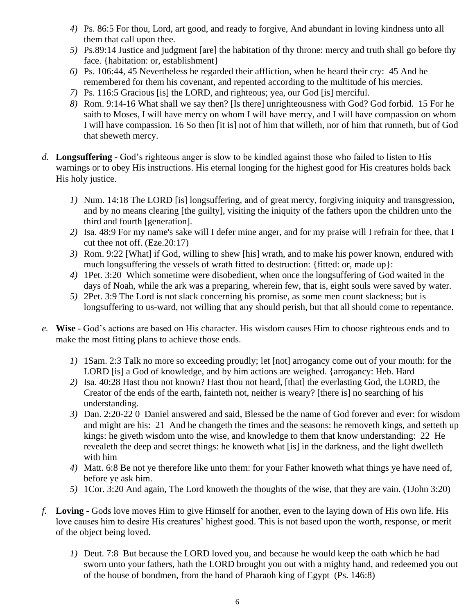- *4)* Ps. 86:5 For thou, Lord, art good, and ready to forgive, And abundant in loving kindness unto all them that call upon thee.
- *5)* Ps.89:14 Justice and judgment [are] the habitation of thy throne: mercy and truth shall go before thy face. {habitation: or, establishment}
- *6)* Ps. 106:44, 45 Nevertheless he regarded their affliction, when he heard their cry: 45 And he remembered for them his covenant, and repented according to the multitude of his mercies.
- *7)* Ps. 116:5 Gracious [is] the LORD, and righteous; yea, our God [is] merciful.
- *8)* Rom. 9:14-16 What shall we say then? [Is there] unrighteousness with God? God forbid. 15 For he saith to Moses, I will have mercy on whom I will have mercy, and I will have compassion on whom I will have compassion. 16 So then [it is] not of him that willeth, nor of him that runneth, but of God that sheweth mercy.
- *d.* **Longsuffering -** God's righteous anger is slow to be kindled against those who failed to listen to His warnings or to obey His instructions. His eternal longing for the highest good for His creatures holds back His holy justice.
	- *1)* Num. 14:18 The LORD [is] longsuffering, and of great mercy, forgiving iniquity and transgression, and by no means clearing [the guilty], visiting the iniquity of the fathers upon the children unto the third and fourth [generation].
	- *2)* Isa. 48:9 For my name's sake will I defer mine anger, and for my praise will I refrain for thee, that I cut thee not off. (Eze.20:17)
	- *3)* Rom. 9:22 [What] if God, willing to shew [his] wrath, and to make his power known, endured with much longsuffering the vessels of wrath fitted to destruction: {fitted: or, made up}:
	- *4)* 1Pet. 3:20 Which sometime were disobedient, when once the longsuffering of God waited in the days of Noah, while the ark was a preparing, wherein few, that is, eight souls were saved by water.
	- *5)* 2Pet. 3:9 The Lord is not slack concerning his promise, as some men count slackness; but is longsuffering to us-ward, not willing that any should perish, but that all should come to repentance.
- *e.* **Wise**  God's actions are based on His character. His wisdom causes Him to choose righteous ends and to make the most fitting plans to achieve those ends.
	- *1)* 1Sam. 2:3 Talk no more so exceeding proudly; let [not] arrogancy come out of your mouth: for the LORD [is] a God of knowledge, and by him actions are weighed. {arrogancy: Heb. Hard
	- *2)* Isa. 40:28 Hast thou not known? Hast thou not heard, [that] the everlasting God, the LORD, the Creator of the ends of the earth, fainteth not, neither is weary? [there is] no searching of his understanding.
	- *3)* Dan. 2:20-22 0 Daniel answered and said, Blessed be the name of God forever and ever: for wisdom and might are his: 21 And he changeth the times and the seasons: he removeth kings, and setteth up kings: he giveth wisdom unto the wise, and knowledge to them that know understanding: 22 He revealeth the deep and secret things: he knoweth what [is] in the darkness, and the light dwelleth with him
	- *4)* Matt. 6:8 Be not ye therefore like unto them: for your Father knoweth what things ye have need of, before ye ask him.
	- *5)* 1Cor. 3:20 And again, The Lord knoweth the thoughts of the wise, that they are vain. (1John 3:20)
- *f.* **Loving**  Gods love moves Him to give Himself for another, even to the laying down of His own life. His love causes him to desire His creatures' highest good. This is not based upon the worth, response, or merit of the object being loved.
	- *1)* Deut. 7:8 But because the LORD loved you, and because he would keep the oath which he had sworn unto your fathers, hath the LORD brought you out with a mighty hand, and redeemed you out of the house of bondmen, from the hand of Pharaoh king of Egypt (Ps. 146:8)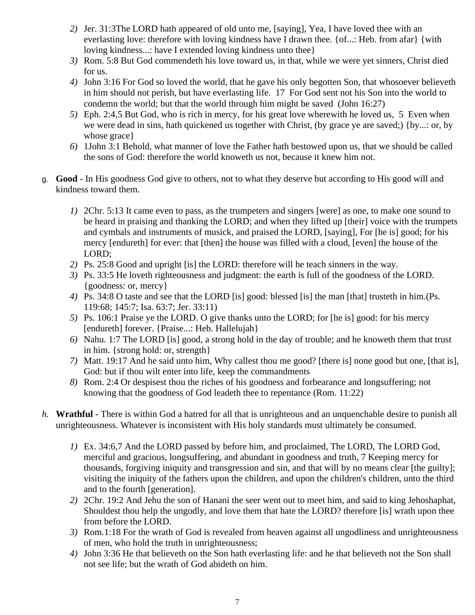- *2)* Jer. 31:3The LORD hath appeared of old unto me, [saying], Yea, I have loved thee with an everlasting love: therefore with loving kindness have I drawn thee. {of...: Heb. from afar} {with loving kindness...: have I extended loving kindness unto thee}
- *3)* Rom. 5:8 But God commendeth his love toward us, in that, while we were yet sinners, Christ died for us.
- *4)* John 3:16 For God so loved the world, that he gave his only begotten Son, that whosoever believeth in him should not perish, but have everlasting life. 17 For God sent not his Son into the world to condemn the world; but that the world through him might be saved (John 16:27)
- *5)* Eph. 2:4,5 But God, who is rich in mercy, for his great love wherewith he loved us, 5 Even when we were dead in sins, hath quickened us together with Christ, (by grace ye are saved;) {by...: or, by whose grace}
- *6)* 1John 3:1 Behold, what manner of love the Father hath bestowed upon us, that we should be called the sons of God: therefore the world knoweth us not, because it knew him not.
- g. **Good**  In His goodness God give to others, not to what they deserve but according to His good will and kindness toward them.
	- *1)* 2Chr. 5:13 It came even to pass, as the trumpeters and singers [were] as one, to make one sound to be heard in praising and thanking the LORD; and when they lifted up [their] voice with the trumpets and cymbals and instruments of musick, and praised the LORD, [saying], For [he is] good; for his mercy [endureth] for ever: that [then] the house was filled with a cloud, [even] the house of the LORD;
	- *2)* Ps. 25:8 Good and upright [is] the LORD: therefore will he teach sinners in the way.
	- *3)* Ps. 33:5 He loveth righteousness and judgment: the earth is full of the goodness of the LORD. {goodness: or, mercy}
	- *4)* Ps. 34:8 O taste and see that the LORD [is] good: blessed [is] the man [that] trusteth in him.(Ps. 119:68; 145:7; Isa. 63:7; Jer. 33:11)
	- *5)* Ps. 106:1 Praise ye the LORD. O give thanks unto the LORD; for [he is] good: for his mercy [endureth] forever. {Praise...: Heb. Hallelujah}
	- *6)* Nahu. 1:7 The LORD [is] good, a strong hold in the day of trouble; and he knoweth them that trust in him. {strong hold: or, strength}
	- *7)* Matt. 19:17 And he said unto him, Why callest thou me good? [there is] none good but one, [that is], God: but if thou wilt enter into life, keep the commandments
	- *8)* Rom. 2:4 Or despisest thou the riches of his goodness and forbearance and longsuffering; not knowing that the goodness of God leadeth thee to repentance (Rom. 11:22)
- *h.* **Wrathful -** There is within God a hatred for all that is unrighteous and an unquenchable desire to punish all unrighteousness. Whatever is inconsistent with His holy standards must ultimately be consumed.
	- *1)* Ex. 34:6,7 And the LORD passed by before him, and proclaimed, The LORD, The LORD God, merciful and gracious, longsuffering, and abundant in goodness and truth, 7 Keeping mercy for thousands, forgiving iniquity and transgression and sin, and that will by no means clear [the guilty]; visiting the iniquity of the fathers upon the children, and upon the children's children, unto the third and to the fourth [generation].
	- *2)* 2Chr. 19:2 And Jehu the son of Hanani the seer went out to meet him, and said to king Jehoshaphat, Shouldest thou help the ungodly, and love them that hate the LORD? therefore [is] wrath upon thee from before the LORD.
	- *3)* Rom.1:18 For the wrath of God is revealed from heaven against all ungodliness and unrighteousness of men, who hold the truth in unrighteousness;
	- *4)* John 3:36 He that believeth on the Son hath everlasting life: and he that believeth not the Son shall not see life; but the wrath of God abideth on him.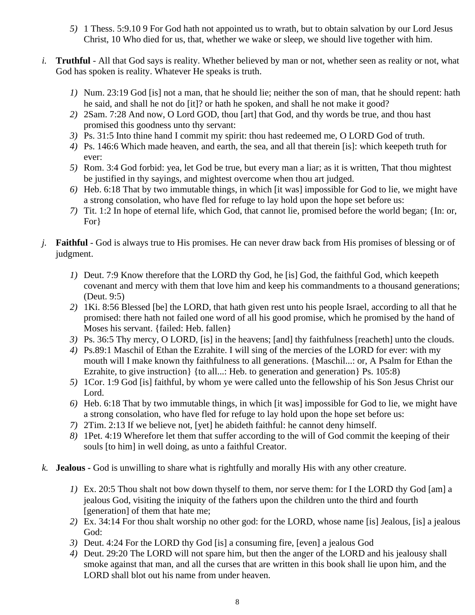- *5)* 1 Thess. 5:9.10 9 For God hath not appointed us to wrath, but to obtain salvation by our Lord Jesus Christ, 10 Who died for us, that, whether we wake or sleep, we should live together with him.
- *i.* **Truthful**  All that God says is reality. Whether believed by man or not, whether seen as reality or not, what God has spoken is reality. Whatever He speaks is truth.
	- *1)* Num. 23:19 God [is] not a man, that he should lie; neither the son of man, that he should repent: hath he said, and shall he not do [it]? or hath he spoken, and shall he not make it good?
	- *2)* 2Sam. 7:28 And now, O Lord GOD, thou [art] that God, and thy words be true, and thou hast promised this goodness unto thy servant:
	- *3)* Ps. 31:5 Into thine hand I commit my spirit: thou hast redeemed me, O LORD God of truth.
	- *4)* Ps. 146:6 Which made heaven, and earth, the sea, and all that therein [is]: which keepeth truth for ever:
	- *5)* Rom. 3:4 God forbid: yea, let God be true, but every man a liar; as it is written, That thou mightest be justified in thy sayings, and mightest overcome when thou art judged.
	- *6)* Heb. 6:18 That by two immutable things, in which [it was] impossible for God to lie, we might have a strong consolation, who have fled for refuge to lay hold upon the hope set before us:
	- *7)* Tit. 1:2 In hope of eternal life, which God, that cannot lie, promised before the world began; {In: or, For}
- *j.* **Faithful**  God is always true to His promises. He can never draw back from His promises of blessing or of judgment.
	- *1)* Deut. 7:9 Know therefore that the LORD thy God, he [is] God, the faithful God, which keepeth covenant and mercy with them that love him and keep his commandments to a thousand generations; (Deut. 9:5)
	- *2)* 1Ki. 8:56 Blessed [be] the LORD, that hath given rest unto his people Israel, according to all that he promised: there hath not failed one word of all his good promise, which he promised by the hand of Moses his servant. {failed: Heb. fallen}
	- *3)* Ps. 36:5 Thy mercy, O LORD, [is] in the heavens; [and] thy faithfulness [reacheth] unto the clouds.
	- *4)* Ps.89:1 Maschil of Ethan the Ezrahite. I will sing of the mercies of the LORD for ever: with my mouth will I make known thy faithfulness to all generations. {Maschil...: or, A Psalm for Ethan the Ezrahite, to give instruction { {to all...: Heb. to generation and generation } Ps. 105:8)
	- *5)* 1Cor. 1:9 God [is] faithful, by whom ye were called unto the fellowship of his Son Jesus Christ our Lord.
	- *6)* Heb. 6:18 That by two immutable things, in which [it was] impossible for God to lie, we might have a strong consolation, who have fled for refuge to lay hold upon the hope set before us:
	- *7)* 2Tim. 2:13 If we believe not, [yet] he abideth faithful: he cannot deny himself.
	- *8)* 1Pet. 4:19 Wherefore let them that suffer according to the will of God commit the keeping of their souls [to him] in well doing, as unto a faithful Creator.
- *k.* **Jealous -** God is unwilling to share what is rightfully and morally His with any other creature.
	- *1)* Ex. 20:5 Thou shalt not bow down thyself to them, nor serve them: for I the LORD thy God [am] a jealous God, visiting the iniquity of the fathers upon the children unto the third and fourth [generation] of them that hate me;
	- *2)* Ex. 34:14 For thou shalt worship no other god: for the LORD, whose name [is] Jealous, [is] a jealous God:
	- *3)* Deut. 4:24 For the LORD thy God [is] a consuming fire, [even] a jealous God
	- *4)* Deut. 29:20 The LORD will not spare him, but then the anger of the LORD and his jealousy shall smoke against that man, and all the curses that are written in this book shall lie upon him, and the LORD shall blot out his name from under heaven.